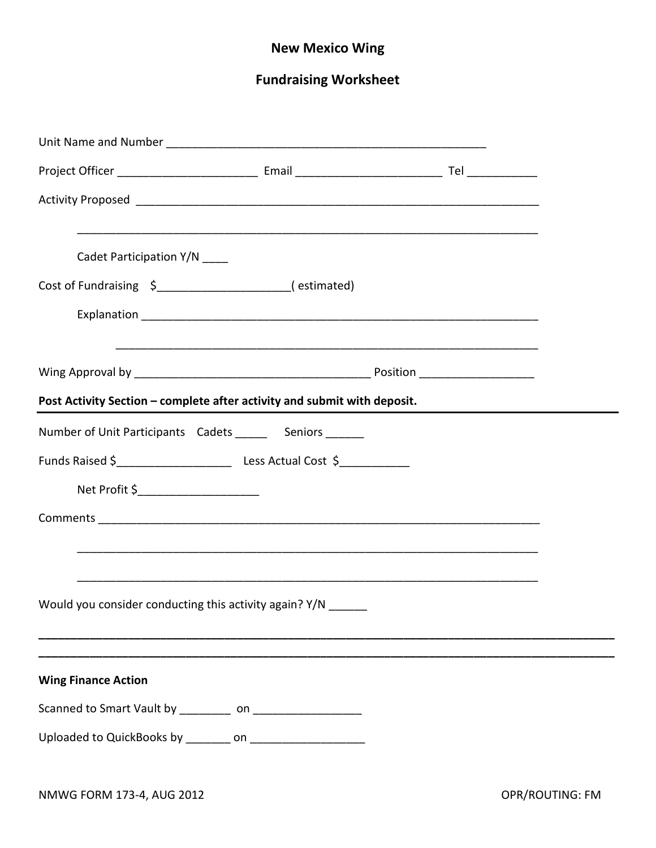## **New Mexico Wing**

# **Fundraising Worksheet**

| Cadet Participation Y/N ____                                             |  |  |  |  |
|--------------------------------------------------------------------------|--|--|--|--|
| Cost of Fundraising \$_____________________(estimated)                   |  |  |  |  |
|                                                                          |  |  |  |  |
|                                                                          |  |  |  |  |
| Post Activity Section - complete after activity and submit with deposit. |  |  |  |  |
| Number of Unit Participants Cadets _______ Seniors _______               |  |  |  |  |
|                                                                          |  |  |  |  |
| Net Profit \$______________________                                      |  |  |  |  |
|                                                                          |  |  |  |  |
|                                                                          |  |  |  |  |
|                                                                          |  |  |  |  |
| Would you consider conducting this activity again? Y/N _______           |  |  |  |  |
|                                                                          |  |  |  |  |
| <b>Wing Finance Action</b>                                               |  |  |  |  |
|                                                                          |  |  |  |  |
| Uploaded to QuickBooks by ________ on _____________________              |  |  |  |  |